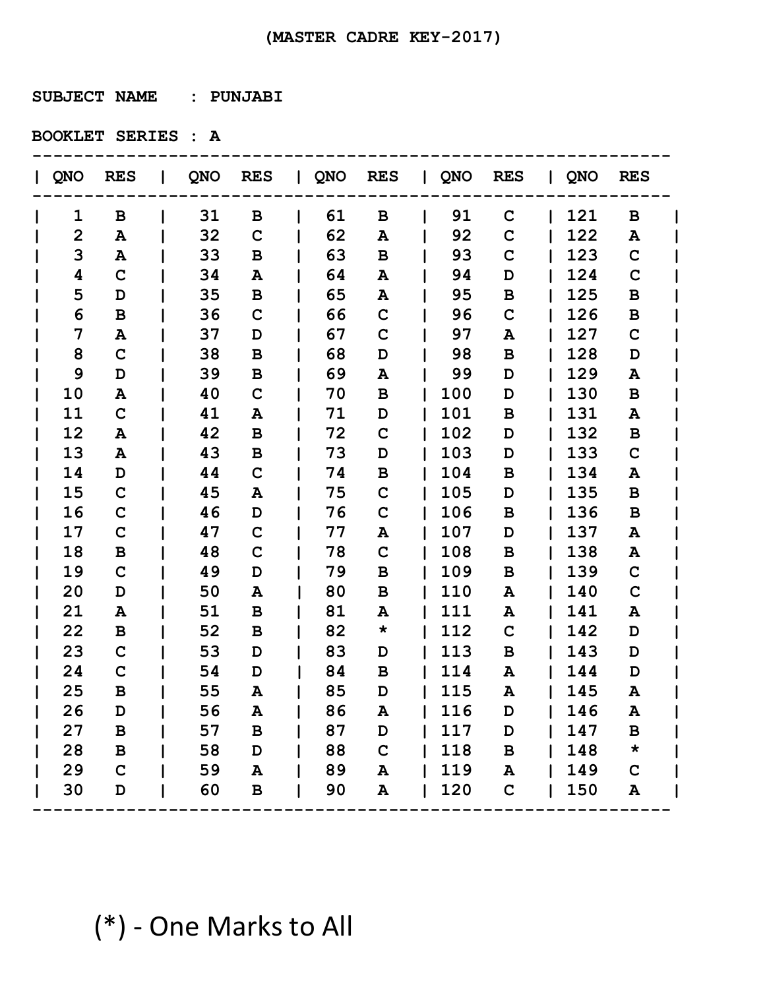**SUBJECT NAME : PUNJABI** 

**BOOKLET SERIES : A**

| QNO            | <b>RES</b>      |    | QNO RES      | QNO RES |             | QNO RES |             | $\overline{Q}$ NO | <b>RES</b>  |  |
|----------------|-----------------|----|--------------|---------|-------------|---------|-------------|-------------------|-------------|--|
| 1              | В               | 31 | B            | 61      | B           | 91      | $\mathbf C$ | 121               | B           |  |
| $\overline{2}$ | A               | 32 | C            | 62      | A           | 92      | $\mathbf C$ | 122               | A           |  |
| 3              | A               | 33 | B            | 63      | В           | 93      | $\mathbf C$ | 123               | $\mathbf C$ |  |
| 4              | $\mathbf C$     | 34 | A            | 64      | A           | 94      | D           | 124               | $\mathbf C$ |  |
| 5              | D               | 35 | В            | 65      | A           | 95      | B           | 125               | B           |  |
| 6              | B               | 36 | C            | 66      | $\mathbf C$ | 96      | $\mathbf C$ | 126               | B           |  |
| 7              | A               | 37 | D            | 67      | $\mathbf C$ | 97      | A           | 127               | $\mathbf C$ |  |
| 8              | $\mathbf C$     | 38 | B            | 68      | D           | 98      | B           | 128               | D           |  |
| 9              | D               | 39 | B            | 69      | A           | 99      | D           | 129               | A           |  |
| 10             | A               | 40 | $\mathbf C$  | 70      | B           | 100     | D           | 130               | B           |  |
| 11             | $\mathbf C$     | 41 | A            | 71      | D           | 101     | B           | 131               | A           |  |
| 12             | A               | 42 | B            | 72      | $\mathbf C$ | 102     | D           | 132               | B           |  |
| 13             | A               | 43 | B            | 73      | D           | 103     | D           | 133               | $\mathbf C$ |  |
| 14             | D               | 44 | $\mathbf C$  | 74      | B           | 104     | B           | 134               | A           |  |
| 15             | $\mathbf C$     | 45 | A            | 75      | $\mathbf C$ | 105     | D           | 135               | B           |  |
| 16             | C               | 46 | D            | 76      | $\mathbf C$ | 106     | B           | 136               | B           |  |
| 17             | $\mathbf C$     | 47 | C            | 77      | A           | 107     | D           | 137               | A           |  |
| 18             | В               | 48 | $\mathbf C$  | 78      | $\mathbf C$ | 108     | B           | 138               | A           |  |
| 19             | $\mathbf C$     | 49 | D            | 79      | B           | 109     | B           | 139               | $\mathbf C$ |  |
| 20             | D               | 50 | A            | 80      | B           | 110     | Α           | 140               | $\mathbf C$ |  |
| 21             | Α               | 51 | B            | 81      | A           | 111     | A           | 141               | A           |  |
| 22             | в               | 52 | B            | 82      | $\star$     | 112     | $\mathbf C$ | 142               | D           |  |
| 23             | $\mathbf C$     | 53 | D            | 83      | D           | 113     | B           | 143               | D           |  |
| 24             | $\mathbf C$     | 54 | D            | 84      | В           | 114     | A           | 144               | D           |  |
| 25             | B               | 55 | A            | 85      | D           | 115     | A           | 145               | A           |  |
| 26             | D               | 56 | A            | 86      | A           | 116     | D           | 146               | A           |  |
| 27             | $\, {\bf B} \,$ | 57 | $\, {\bf B}$ | 87      | D           | 117     | D           | 147               | B           |  |
| 28             | B               | 58 | D            | 88      | $\mathbf C$ | 118     | $\mathbf B$ | 148               | $\star$     |  |
| 29             | $\mathbf C$     | 59 | A            | 89      | A           | 119     | A           | 149               | $\mathbf C$ |  |
| 30             | $\mathbf D$     | 60 | $\, {\bf B}$ | 90      | A           | 120     | $\mathbf C$ | 150               | ${\bf A}$   |  |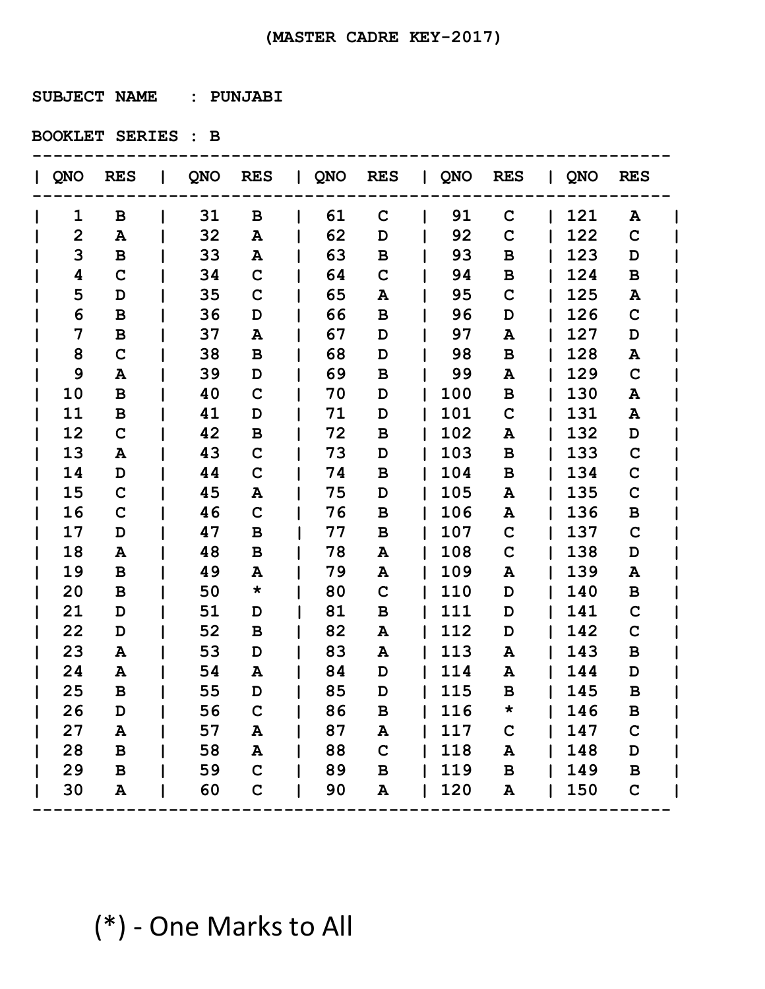**SUBJECT NAME : PUNJABI** 

**BOOKLET SERIES : B**

| QNO            | <b>RES</b>   |    | QNO RES     | QNO | <b>RES</b>   | QNO RES |              | QNO | <b>RES</b>   |  |
|----------------|--------------|----|-------------|-----|--------------|---------|--------------|-----|--------------|--|
| 1              | В            | 31 | B           | 61  | $\mathbf C$  | 91      | $\mathbf C$  | 121 | A            |  |
| $\overline{2}$ | A            | 32 | A           | 62  | D            | 92      | $\mathbf C$  | 122 | $\mathbf C$  |  |
| 3              | в            | 33 | A           | 63  | В            | 93      | B            | 123 | D            |  |
| 4              | $\mathbf C$  | 34 | $\mathbf C$ | 64  | $\mathbf C$  | 94      | $\mathbf B$  | 124 | B            |  |
| 5              | D            | 35 | $\mathbf C$ | 65  | A            | 95      | $\mathbf C$  | 125 | A            |  |
| 6              | B            | 36 | D           | 66  | B            | 96      | D            | 126 | $\mathbf C$  |  |
| 7              | B            | 37 | A           | 67  | D            | 97      | A            | 127 | D            |  |
| 8              | $\mathbf C$  | 38 | B           | 68  | D            | 98      | B            | 128 | A            |  |
| 9              | A            | 39 | D           | 69  | B            | 99      | A            | 129 | $\mathbf C$  |  |
| 10             | B            | 40 | $\mathbf C$ | 70  | D            | 100     | B            | 130 | A            |  |
| 11             | B            | 41 | D           | 71  | D            | 101     | $\mathbf C$  | 131 | A            |  |
| 12             | $\mathbf C$  | 42 | В           | 72  | B            | 102     | A            | 132 | D            |  |
| 13             | A            | 43 | $\mathbf C$ | 73  | D            | 103     | $\, {\bf B}$ | 133 | $\mathbf C$  |  |
| 14             | D            | 44 | $\mathbf C$ | 74  | B            | 104     | B            | 134 | $\mathbf C$  |  |
| 15             | $\mathbf C$  | 45 | A           | 75  | D            | 105     | Α            | 135 | $\mathbf C$  |  |
| 16             | $\mathbf C$  | 46 | $\mathbf C$ | 76  | B            | 106     | A            | 136 | B            |  |
| 17             | D            | 47 | B           | 77  | B            | 107     | $\mathbf C$  | 137 | $\mathbf C$  |  |
| 18             | A            | 48 | B           | 78  | A            | 108     | $\mathbf C$  | 138 | D            |  |
| 19             | B            | 49 | A           | 79  | A            | 109     | A            | 139 | A            |  |
| 20             | B            | 50 | $\star$     | 80  | $\mathbf C$  | 110     | D            | 140 | B            |  |
| 21             | D            | 51 | D           | 81  | B            | 111     | D            | 141 | $\mathbf C$  |  |
| 22             | D            | 52 | B           | 82  | A            | 112     | D            | 142 | $\mathbf C$  |  |
| 23             | A            | 53 | D           | 83  | A            | 113     | A            | 143 | B            |  |
| 24             | A            | 54 | A           | 84  | D            | 114     | A            | 144 | D            |  |
| 25             | B            | 55 | D           | 85  | D            | 115     | B            | 145 | B            |  |
| 26             | D            | 56 | $\mathbf C$ | 86  | В            | 116     |              | 146 | B            |  |
| 27             | A            | 57 | A           | 87  | A            | 117     | $\mathbf C$  | 147 | $\mathbf C$  |  |
| 28             | $\, {\bf B}$ | 58 | A           | 88  | $\mathbf C$  | 118     | ${\bf A}$    | 148 | $\mathbf D$  |  |
| 29             | $\mathbf B$  | 59 | $\mathbf C$ | 89  | $\, {\bf B}$ | 119     | $\, {\bf B}$ | 149 | $\, {\bf B}$ |  |
| 30             | A            | 60 | $\mathbf C$ | 90  | A            | 120     | A            | 150 | $\mathbf C$  |  |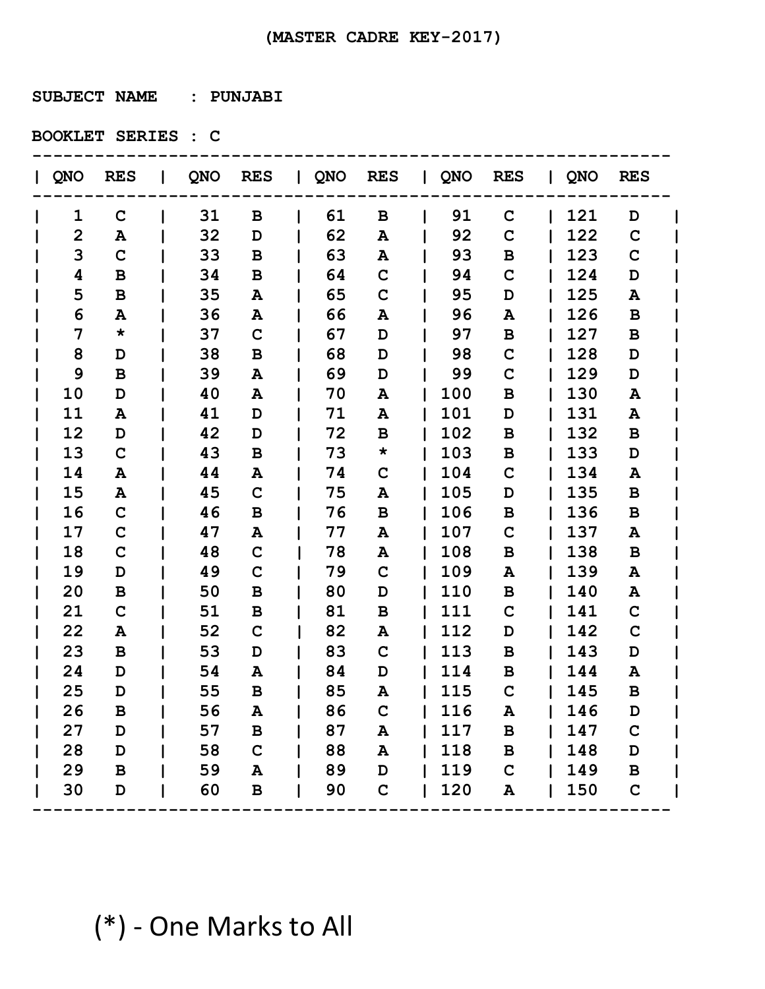**SUBJECT NAME : PUNJABI** 

**BOOKLET SERIES : C**

| QNO | <b>RES</b>   |    | QNO RES      | QNO RES |             | QNO RES |              | QNO | <b>RES</b>   |  |
|-----|--------------|----|--------------|---------|-------------|---------|--------------|-----|--------------|--|
| 1   | $\mathbf C$  | 31 | B            | 61      | B           | 91      | $\mathbf C$  | 121 | D            |  |
| 2   | A            | 32 | D            | 62      | A           | 92      | $\mathbf C$  | 122 | $\mathbf C$  |  |
| 3   | $\mathbf C$  | 33 | B            | 63      | A           | 93      | B            | 123 | $\mathbf C$  |  |
| 4   | B            | 34 | B            | 64      | $\mathbf C$ | 94      | $\mathbf C$  | 124 | D            |  |
| 5   | B            | 35 | Α            | 65      | $\mathbf C$ | 95      | D            | 125 | A            |  |
| 6   | A            | 36 | A            | 66      | A           | 96      | A            | 126 | B            |  |
| 7   | $\star$      | 37 | C            | 67      | D           | 97      | $\mathbf B$  | 127 | B            |  |
| 8   | D            | 38 | B            | 68      | D           | 98      | $\mathbf C$  | 128 | D            |  |
| 9   | B            | 39 | A            | 69      | D           | 99      | $\mathbf C$  | 129 | D            |  |
| 10  | D            | 40 | Α            | 70      | A           | 100     | $\, {\bf B}$ | 130 | A            |  |
| 11  | A            | 41 | D            | 71      | A           | 101     | D            | 131 | A            |  |
| 12  | D            | 42 | D            | 72      | B           | 102     | B            | 132 | B            |  |
| 13  | $\mathbf C$  | 43 | B            | 73      | $\star$     | 103     | $\, {\bf B}$ | 133 | D            |  |
| 14  | Α            | 44 | A            | 74      | $\mathbf C$ | 104     | $\mathbf C$  | 134 | A            |  |
| 15  | Α            | 45 | $\mathbf C$  | 75      | Α           | 105     | D            | 135 | B            |  |
| 16  | $\mathbf C$  | 46 | B            | 76      | B           | 106     | B            | 136 | B            |  |
| 17  | $\mathbf C$  | 47 | A            | 77      | A           | 107     | $\mathbf C$  | 137 | A            |  |
| 18  | $\mathbf C$  | 48 | $\mathbf C$  | 78      | A           | 108     | $\, {\bf B}$ | 138 | B            |  |
| 19  | D            | 49 | $\mathbf C$  | 79      | $\mathbf C$ | 109     | A            | 139 | A            |  |
| 20  | B            | 50 | B            | 80      | D           | 110     | B            | 140 | A            |  |
| 21  | $\mathbf C$  | 51 | B            | 81      | B           | 111     | $\mathbf C$  | 141 | $\mathbf C$  |  |
| 22  | Α            | 52 | $\mathbf C$  | 82      | Α           | 112     | D            | 142 | $\mathbf C$  |  |
| 23  | B            | 53 | D            | 83      | $\mathbf C$ | 113     | B            | 143 | D            |  |
| 24  | D            | 54 | A            | 84      | D           | 114     | B            | 144 | A            |  |
| 25  | D            | 55 | В            | 85      | A           | 115     | $\mathbf C$  | 145 | B            |  |
| 26  | в            | 56 | A            | 86      | C           | 116     | A            | 146 | D            |  |
| 27  | D            | 57 | $\, {\bf B}$ | 87      | A           | 117     | $\, {\bf B}$ | 147 | $\mathbf C$  |  |
| 28  | D            | 58 | $\mathbf C$  | 88      | A           | 118     | $\mathbf B$  | 148 | $\mathbf D$  |  |
| 29  | $\, {\bf B}$ | 59 | A            | 89      | D           | 119     | $\mathbf C$  | 149 | $\, {\bf B}$ |  |
| 30  | D            | 60 | $\, {\bf B}$ | 90      | $\mathbf C$ | 120     | A            | 150 | $\mathbf C$  |  |